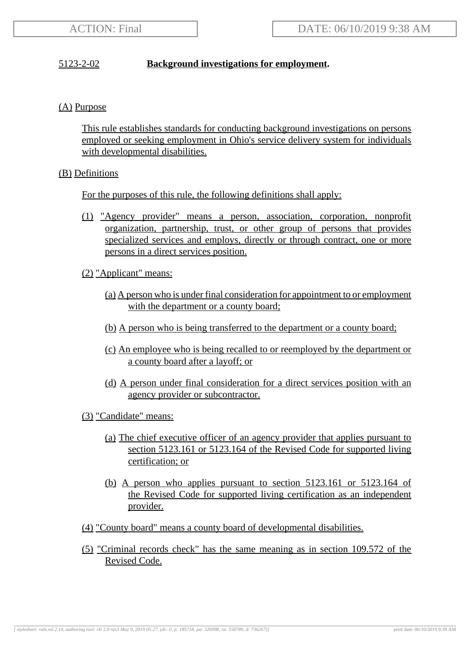# 5123-2-02 **Background investigations for employment.**

# (A) Purpose

This rule establishes standards for conducting background investigations on persons employed or seeking employment in Ohio's service delivery system for individuals with developmental disabilities.

# (B) Definitions

For the purposes of this rule, the following definitions shall apply:

- (1) "Agency provider" means a person, association, corporation, nonprofit organization, partnership, trust, or other group of persons that provides specialized services and employs, directly or through contract, one or more persons in a direct services position.
- (2) "Applicant" means:
	- (a) A person who is under final consideration for appointment to or employment with the department or a county board;
	- (b) A person who is being transferred to the department or a county board;
	- (c) An employee who is being recalled to or reemployed by the department or a county board after a layoff; or
	- (d) A person under final consideration for a direct services position with an agency provider or subcontractor.
- (3) "Candidate" means:
	- (a) The chief executive officer of an agency provider that applies pursuant to section 5123.161 or 5123.164 of the Revised Code for supported living certification; or
	- (b) A person who applies pursuant to section 5123.161 or 5123.164 of the Revised Code for supported living certification as an independent provider.
- (4) "County board" means a county board of developmental disabilities.
- (5) "Criminal records check" has the same meaning as in section 109.572 of the Revised Code.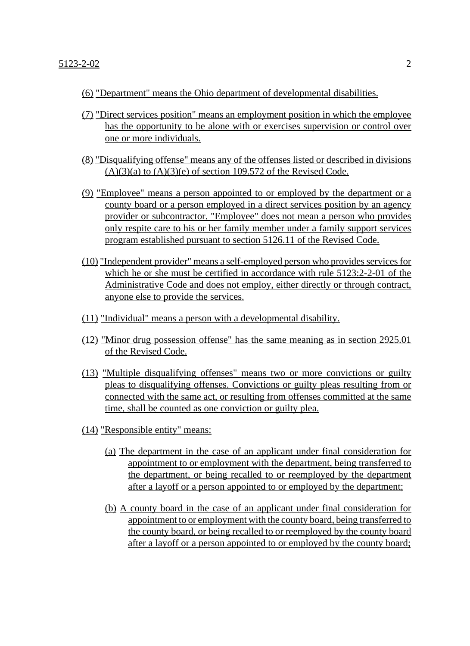- (6) "Department" means the Ohio department of developmental disabilities.
- (7) "Direct services position" means an employment position in which the employee has the opportunity to be alone with or exercises supervision or control over one or more individuals.
- (8) "Disqualifying offense" means any of the offenses listed or described in divisions  $(A)(3)(a)$  to  $(A)(3)(e)$  of section 109.572 of the Revised Code.
- (9) "Employee" means a person appointed to or employed by the department or a county board or a person employed in a direct services position by an agency provider or subcontractor. "Employee" does not mean a person who provides only respite care to his or her family member under a family support services program established pursuant to section 5126.11 of the Revised Code.
- (10) "Independent provider" means a self-employed person who provides services for which he or she must be certified in accordance with rule 5123:2-2-01 of the Administrative Code and does not employ, either directly or through contract, anyone else to provide the services.
- (11) "Individual" means a person with a developmental disability.
- (12) "Minor drug possession offense" has the same meaning as in section 2925.01 of the Revised Code.
- (13) "Multiple disqualifying offenses" means two or more convictions or guilty pleas to disqualifying offenses. Convictions or guilty pleas resulting from or connected with the same act, or resulting from offenses committed at the same time, shall be counted as one conviction or guilty plea.
- (14) "Responsible entity" means:
	- (a) The department in the case of an applicant under final consideration for appointment to or employment with the department, being transferred to the department, or being recalled to or reemployed by the department after a layoff or a person appointed to or employed by the department;
	- (b) A county board in the case of an applicant under final consideration for appointment to or employment with the county board, being transferred to the county board, or being recalled to or reemployed by the county board after a layoff or a person appointed to or employed by the county board;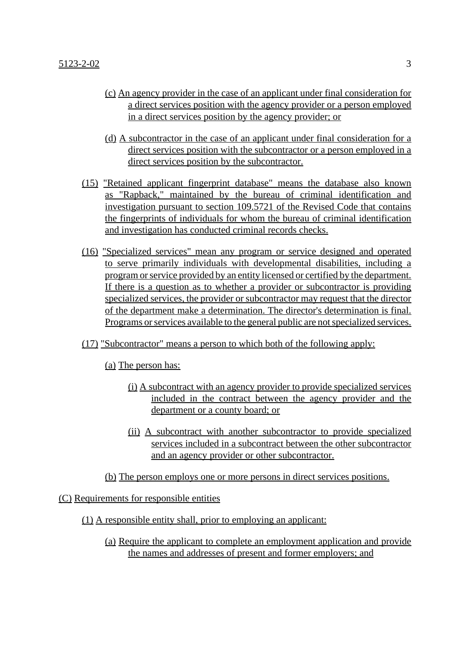- (c) An agency provider in the case of an applicant under final consideration for a direct services position with the agency provider or a person employed in a direct services position by the agency provider; or
- (d) A subcontractor in the case of an applicant under final consideration for a direct services position with the subcontractor or a person employed in a direct services position by the subcontractor.
- (15) "Retained applicant fingerprint database" means the database also known as "Rapback," maintained by the bureau of criminal identification and investigation pursuant to section 109.5721 of the Revised Code that contains the fingerprints of individuals for whom the bureau of criminal identification and investigation has conducted criminal records checks.
- (16) "Specialized services" mean any program or service designed and operated to serve primarily individuals with developmental disabilities, including a program or service provided by an entity licensed or certified by the department. If there is a question as to whether a provider or subcontractor is providing specialized services, the provider or subcontractor may request that the director of the department make a determination. The director's determination is final. Programs or services available to the general public are not specialized services.
- (17) "Subcontractor" means a person to which both of the following apply:

(a) The person has:

- (i) A subcontract with an agency provider to provide specialized services included in the contract between the agency provider and the department or a county board; or
- (ii) A subcontract with another subcontractor to provide specialized services included in a subcontract between the other subcontractor and an agency provider or other subcontractor.
- (b) The person employs one or more persons in direct services positions.

(C) Requirements for responsible entities

- (1) A responsible entity shall, prior to employing an applicant:
	- (a) Require the applicant to complete an employment application and provide the names and addresses of present and former employers; and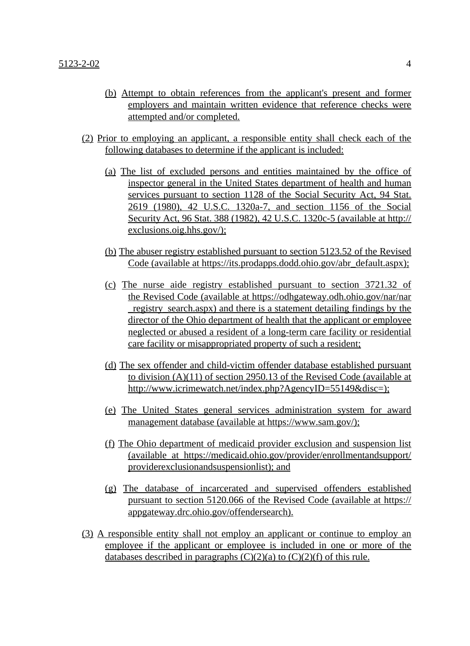- (b) Attempt to obtain references from the applicant's present and former employers and maintain written evidence that reference checks were attempted and/or completed.
- (2) Prior to employing an applicant, a responsible entity shall check each of the following databases to determine if the applicant is included:
	- (a) The list of excluded persons and entities maintained by the office of inspector general in the United States department of health and human services pursuant to section 1128 of the Social Security Act, 94 Stat. 2619 (1980), 42 U.S.C. 1320a-7, and section 1156 of the Social Security Act, 96 Stat. 388 (1982), 42 U.S.C. 1320c-5 (available at http:// exclusions.oig.hhs.gov/);
	- (b) The abuser registry established pursuant to section 5123.52 of the Revised Code (available at https://its.prodapps.dodd.ohio.gov/abr\_default.aspx);
	- (c) The nurse aide registry established pursuant to section 3721.32 of the Revised Code (available at https://odhgateway.odh.ohio.gov/nar/nar \_registry\_search.aspx) and there is a statement detailing findings by the director of the Ohio department of health that the applicant or employee neglected or abused a resident of a long-term care facility or residential care facility or misappropriated property of such a resident;
	- (d) The sex offender and child-victim offender database established pursuant to division (A)(11) of section 2950.13 of the Revised Code (available at http://www.icrimewatch.net/index.php?AgencyID=55149&disc=);
	- (e) The United States general services administration system for award management database (available at https://www.sam.gov/);
	- (f) The Ohio department of medicaid provider exclusion and suspension list (available at https://medicaid.ohio.gov/provider/enrollmentandsupport/ providerexclusionandsuspensionlist); and
	- (g) The database of incarcerated and supervised offenders established pursuant to section 5120.066 of the Revised Code (available at https:// appgateway.drc.ohio.gov/offendersearch).
- (3) A responsible entity shall not employ an applicant or continue to employ an employee if the applicant or employee is included in one or more of the databases described in paragraphs  $(C)(2)(a)$  to  $(C)(2)(f)$  of this rule.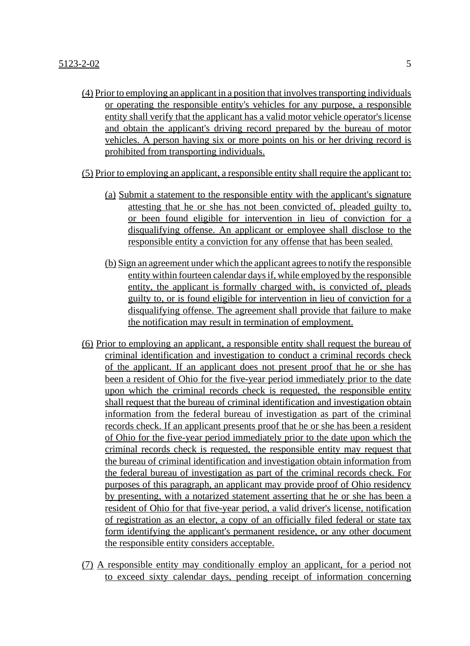- (4) Prior to employing an applicant in a position that involves transporting individuals or operating the responsible entity's vehicles for any purpose, a responsible entity shall verify that the applicant has a valid motor vehicle operator's license and obtain the applicant's driving record prepared by the bureau of motor vehicles. A person having six or more points on his or her driving record is prohibited from transporting individuals.
- (5) Prior to employing an applicant, a responsible entity shall require the applicant to:
	- (a) Submit a statement to the responsible entity with the applicant's signature attesting that he or she has not been convicted of, pleaded guilty to, or been found eligible for intervention in lieu of conviction for a disqualifying offense. An applicant or employee shall disclose to the responsible entity a conviction for any offense that has been sealed.
	- (b) Sign an agreement under which the applicant agrees to notify the responsible entity within fourteen calendar days if, while employed by the responsible entity, the applicant is formally charged with, is convicted of, pleads guilty to, or is found eligible for intervention in lieu of conviction for a disqualifying offense. The agreement shall provide that failure to make the notification may result in termination of employment.
- (6) Prior to employing an applicant, a responsible entity shall request the bureau of criminal identification and investigation to conduct a criminal records check of the applicant. If an applicant does not present proof that he or she has been a resident of Ohio for the five-year period immediately prior to the date upon which the criminal records check is requested, the responsible entity shall request that the bureau of criminal identification and investigation obtain information from the federal bureau of investigation as part of the criminal records check. If an applicant presents proof that he or she has been a resident of Ohio for the five-year period immediately prior to the date upon which the criminal records check is requested, the responsible entity may request that the bureau of criminal identification and investigation obtain information from the federal bureau of investigation as part of the criminal records check. For purposes of this paragraph, an applicant may provide proof of Ohio residency by presenting, with a notarized statement asserting that he or she has been a resident of Ohio for that five-year period, a valid driver's license, notification of registration as an elector, a copy of an officially filed federal or state tax form identifying the applicant's permanent residence, or any other document the responsible entity considers acceptable.
- (7) A responsible entity may conditionally employ an applicant, for a period not to exceed sixty calendar days, pending receipt of information concerning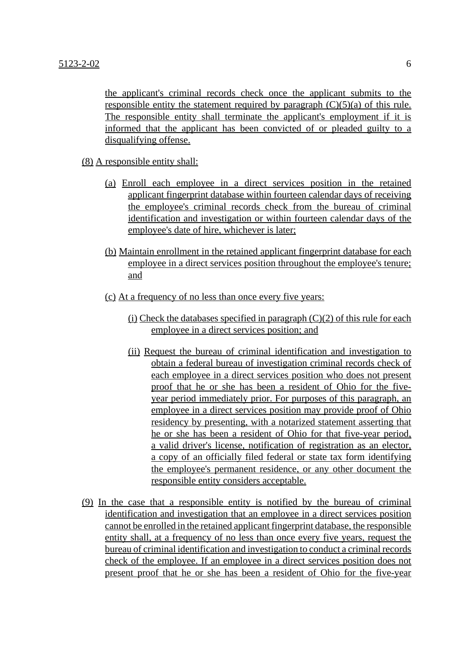the applicant's criminal records check once the applicant submits to the responsible entity the statement required by paragraph  $(C)(5)(a)$  of this rule. The responsible entity shall terminate the applicant's employment if it is informed that the applicant has been convicted of or pleaded guilty to a disqualifying offense.

(8) A responsible entity shall:

- (a) Enroll each employee in a direct services position in the retained applicant fingerprint database within fourteen calendar days of receiving the employee's criminal records check from the bureau of criminal identification and investigation or within fourteen calendar days of the employee's date of hire, whichever is later;
- (b) Maintain enrollment in the retained applicant fingerprint database for each employee in a direct services position throughout the employee's tenure; and
- (c) At a frequency of no less than once every five years:
	- (i) Check the databases specified in paragraph  $(C)(2)$  of this rule for each employee in a direct services position; and
	- (ii) Request the bureau of criminal identification and investigation to obtain a federal bureau of investigation criminal records check of each employee in a direct services position who does not present proof that he or she has been a resident of Ohio for the fiveyear period immediately prior. For purposes of this paragraph, an employee in a direct services position may provide proof of Ohio residency by presenting, with a notarized statement asserting that he or she has been a resident of Ohio for that five-year period, a valid driver's license, notification of registration as an elector, a copy of an officially filed federal or state tax form identifying the employee's permanent residence, or any other document the responsible entity considers acceptable.
- (9) In the case that a responsible entity is notified by the bureau of criminal identification and investigation that an employee in a direct services position cannot be enrolled in the retained applicant fingerprint database, the responsible entity shall, at a frequency of no less than once every five years, request the bureau of criminal identification and investigation to conduct a criminal records check of the employee. If an employee in a direct services position does not present proof that he or she has been a resident of Ohio for the five-year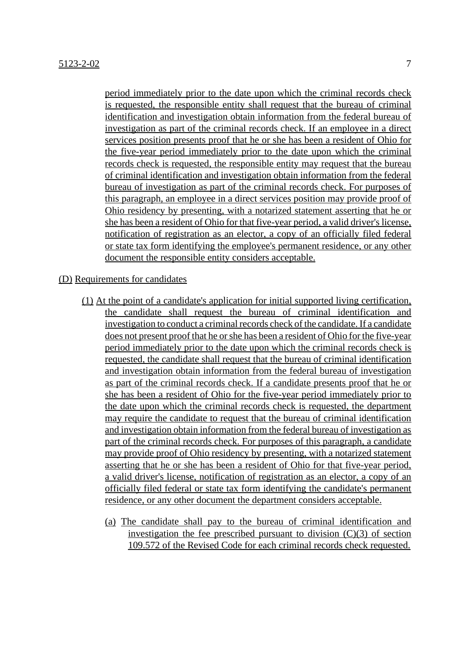period immediately prior to the date upon which the criminal records check is requested, the responsible entity shall request that the bureau of criminal identification and investigation obtain information from the federal bureau of investigation as part of the criminal records check. If an employee in a direct services position presents proof that he or she has been a resident of Ohio for the five-year period immediately prior to the date upon which the criminal records check is requested, the responsible entity may request that the bureau of criminal identification and investigation obtain information from the federal bureau of investigation as part of the criminal records check. For purposes of this paragraph, an employee in a direct services position may provide proof of Ohio residency by presenting, with a notarized statement asserting that he or she has been a resident of Ohio for that five-year period, a valid driver's license, notification of registration as an elector, a copy of an officially filed federal or state tax form identifying the employee's permanent residence, or any other document the responsible entity considers acceptable.

#### (D) Requirements for candidates

- (1) At the point of a candidate's application for initial supported living certification, the candidate shall request the bureau of criminal identification and investigation to conduct a criminal records check of the candidate. If a candidate does not present proof that he or she has been a resident of Ohio for the five-year period immediately prior to the date upon which the criminal records check is requested, the candidate shall request that the bureau of criminal identification and investigation obtain information from the federal bureau of investigation as part of the criminal records check. If a candidate presents proof that he or she has been a resident of Ohio for the five-year period immediately prior to the date upon which the criminal records check is requested, the department may require the candidate to request that the bureau of criminal identification and investigation obtain information from the federal bureau of investigation as part of the criminal records check. For purposes of this paragraph, a candidate may provide proof of Ohio residency by presenting, with a notarized statement asserting that he or she has been a resident of Ohio for that five-year period, a valid driver's license, notification of registration as an elector, a copy of an officially filed federal or state tax form identifying the candidate's permanent residence, or any other document the department considers acceptable.
	- (a) The candidate shall pay to the bureau of criminal identification and investigation the fee prescribed pursuant to division  $(C)(3)$  of section 109.572 of the Revised Code for each criminal records check requested.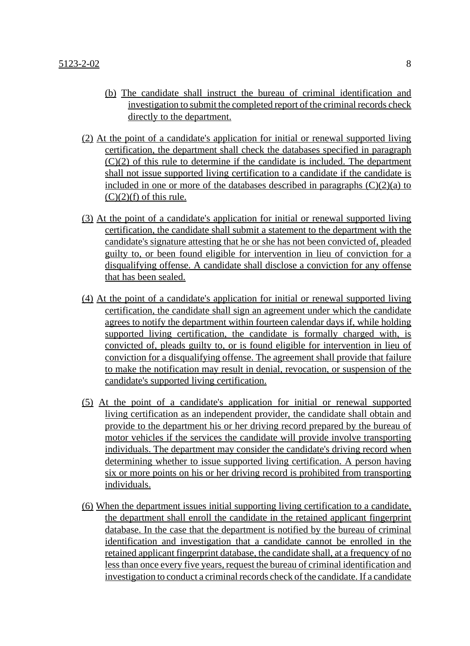- (b) The candidate shall instruct the bureau of criminal identification and investigation to submit the completed report of the criminal records check directly to the department.
- (2) At the point of a candidate's application for initial or renewal supported living certification, the department shall check the databases specified in paragraph (C)(2) of this rule to determine if the candidate is included. The department shall not issue supported living certification to a candidate if the candidate is included in one or more of the databases described in paragraphs  $(C)(2)(a)$  to  $(C)(2)(f)$  of this rule.
- (3) At the point of a candidate's application for initial or renewal supported living certification, the candidate shall submit a statement to the department with the candidate's signature attesting that he or she has not been convicted of, pleaded guilty to, or been found eligible for intervention in lieu of conviction for a disqualifying offense. A candidate shall disclose a conviction for any offense that has been sealed.
- (4) At the point of a candidate's application for initial or renewal supported living certification, the candidate shall sign an agreement under which the candidate agrees to notify the department within fourteen calendar days if, while holding supported living certification, the candidate is formally charged with, is convicted of, pleads guilty to, or is found eligible for intervention in lieu of conviction for a disqualifying offense. The agreement shall provide that failure to make the notification may result in denial, revocation, or suspension of the candidate's supported living certification.
- (5) At the point of a candidate's application for initial or renewal supported living certification as an independent provider, the candidate shall obtain and provide to the department his or her driving record prepared by the bureau of motor vehicles if the services the candidate will provide involve transporting individuals. The department may consider the candidate's driving record when determining whether to issue supported living certification. A person having six or more points on his or her driving record is prohibited from transporting individuals.
- (6) When the department issues initial supporting living certification to a candidate, the department shall enroll the candidate in the retained applicant fingerprint database. In the case that the department is notified by the bureau of criminal identification and investigation that a candidate cannot be enrolled in the retained applicant fingerprint database, the candidate shall, at a frequency of no less than once every five years, request the bureau of criminal identification and investigation to conduct a criminal records check of the candidate. If a candidate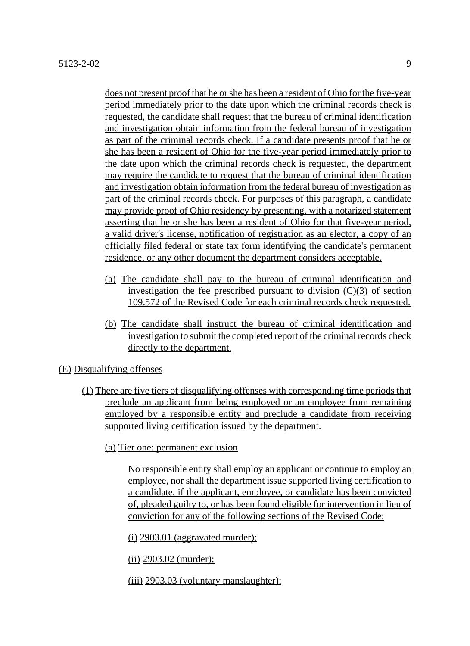does not present proof that he or she has been a resident of Ohio for the five-year period immediately prior to the date upon which the criminal records check is requested, the candidate shall request that the bureau of criminal identification and investigation obtain information from the federal bureau of investigation as part of the criminal records check. If a candidate presents proof that he or she has been a resident of Ohio for the five-year period immediately prior to the date upon which the criminal records check is requested, the department may require the candidate to request that the bureau of criminal identification and investigation obtain information from the federal bureau of investigation as part of the criminal records check. For purposes of this paragraph, a candidate may provide proof of Ohio residency by presenting, with a notarized statement asserting that he or she has been a resident of Ohio for that five-year period, a valid driver's license, notification of registration as an elector, a copy of an officially filed federal or state tax form identifying the candidate's permanent residence, or any other document the department considers acceptable.

- (a) The candidate shall pay to the bureau of criminal identification and investigation the fee prescribed pursuant to division  $(C)(3)$  of section 109.572 of the Revised Code for each criminal records check requested.
- (b) The candidate shall instruct the bureau of criminal identification and investigation to submit the completed report of the criminal records check directly to the department.

# (E) Disqualifying offenses

- (1) There are five tiers of disqualifying offenses with corresponding time periods that preclude an applicant from being employed or an employee from remaining employed by a responsible entity and preclude a candidate from receiving supported living certification issued by the department.
	- (a) Tier one: permanent exclusion

No responsible entity shall employ an applicant or continue to employ an employee, nor shall the department issue supported living certification to a candidate, if the applicant, employee, or candidate has been convicted of, pleaded guilty to, or has been found eligible for intervention in lieu of conviction for any of the following sections of the Revised Code:

 $(i)$  2903.01 (aggravated murder);

(ii) 2903.02 (murder);

(iii) 2903.03 (voluntary manslaughter);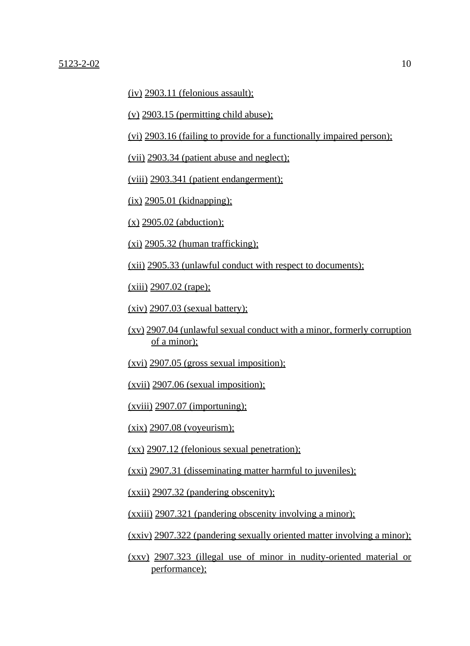$(iv)$  2903.11 (felonious assault);

 $(v)$  2903.15 (permitting child abuse);

(vi) 2903.16 (failing to provide for a functionally impaired person);

(vii) 2903.34 (patient abuse and neglect);

(viii) 2903.341 (patient endangerment);

 $(ix)$  2905.01 (kidnapping);

 $(x)$  2905.02 (abduction);

 $(x_i)$  2905.32 (human trafficking);

(xii) 2905.33 (unlawful conduct with respect to documents);

(xiii) 2907.02 (rape);

 $(xiv)$  2907.03 (sexual battery);

- (xv) 2907.04 (unlawful sexual conduct with a minor, formerly corruption of a minor);
- (xvi) 2907.05 (gross sexual imposition);

(xvii) 2907.06 (sexual imposition);

 $(xviii)$  2907.07 (importuning);

(xix) 2907.08 (voyeurism);

(xx) 2907.12 (felonious sexual penetration);

(xxi) 2907.31 (disseminating matter harmful to juveniles);

(xxii) 2907.32 (pandering obscenity);

(xxiii) 2907.321 (pandering obscenity involving a minor);

(xxiv) 2907.322 (pandering sexually oriented matter involving a minor);

(xxv) 2907.323 (illegal use of minor in nudity-oriented material or performance);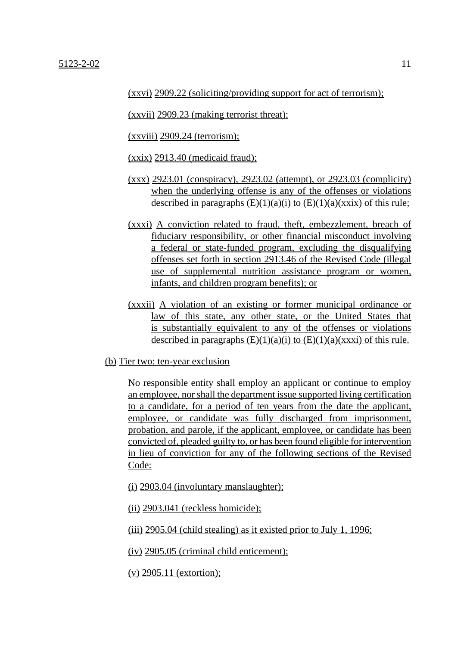(xxvii) 2909.23 (making terrorist threat);

 $(xxviii)$  2909.24 (terrorism);

(xxix) 2913.40 (medicaid fraud);

- (xxx) 2923.01 (conspiracy), 2923.02 (attempt), or 2923.03 (complicity) when the underlying offense is any of the offenses or violations described in paragraphs  $(E)(1)(a)(i)$  to  $(E)(1)(a)(xxix)$  of this rule;
- (xxxi) A conviction related to fraud, theft, embezzlement, breach of fiduciary responsibility, or other financial misconduct involving a federal or state-funded program, excluding the disqualifying offenses set forth in section 2913.46 of the Revised Code (illegal use of supplemental nutrition assistance program or women, infants, and children program benefits); or
- (xxxii) A violation of an existing or former municipal ordinance or law of this state, any other state, or the United States that is substantially equivalent to any of the offenses or violations described in paragraphs  $(E)(1)(a)(i)$  to  $(E)(1)(a)(xxx)$  of this rule.
- (b) Tier two: ten-year exclusion

No responsible entity shall employ an applicant or continue to employ an employee, nor shall the department issue supported living certification to a candidate, for a period of ten years from the date the applicant, employee, or candidate was fully discharged from imprisonment, probation, and parole, if the applicant, employee, or candidate has been convicted of, pleaded guilty to, or has been found eligible for intervention in lieu of conviction for any of the following sections of the Revised Code:

(i) 2903.04 (involuntary manslaughter);

(ii) 2903.041 (reckless homicide);

(iii) 2905.04 (child stealing) as it existed prior to July 1, 1996;

(iv) 2905.05 (criminal child enticement);

(v) 2905.11 (extortion);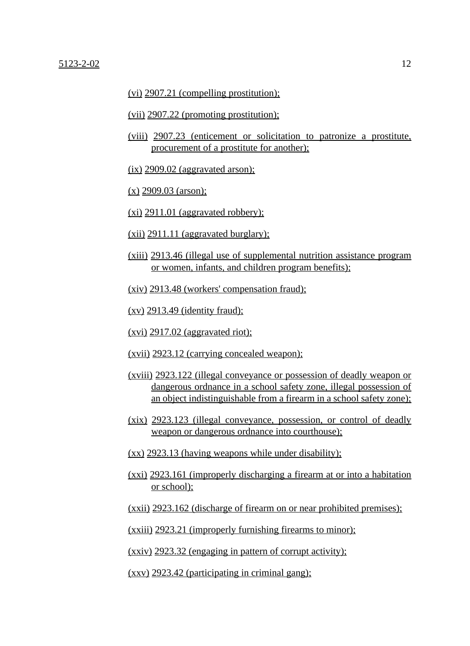(vi) 2907.21 (compelling prostitution);

- (vii) 2907.22 (promoting prostitution);
- (viii) 2907.23 (enticement or solicitation to patronize a prostitute, procurement of a prostitute for another);
- $(ix)$  2909.02 (aggravated arson);
- (x) 2909.03 (arson);
- $(xi)$  2911.01 (aggravated robbery);
- $(xii)$  2911.11 (aggravated burglary);
- (xiii) 2913.46 (illegal use of supplemental nutrition assistance program or women, infants, and children program benefits);
- (xiv) 2913.48 (workers' compensation fraud);
- $(xv)$  2913.49 (identity fraud);
- (xvi) 2917.02 (aggravated riot);
- (xvii) 2923.12 (carrying concealed weapon);
- (xviii) 2923.122 (illegal conveyance or possession of deadly weapon or dangerous ordnance in a school safety zone, illegal possession of an object indistinguishable from a firearm in a school safety zone);
- (xix) 2923.123 (illegal conveyance, possession, or control of deadly weapon or dangerous ordnance into courthouse);
- (xx) 2923.13 (having weapons while under disability);
- (xxi) 2923.161 (improperly discharging a firearm at or into a habitation or school);
- (xxii) 2923.162 (discharge of firearm on or near prohibited premises);
- (xxiii) 2923.21 (improperly furnishing firearms to minor);
- (xxiv) 2923.32 (engaging in pattern of corrupt activity);
- (xxv) 2923.42 (participating in criminal gang);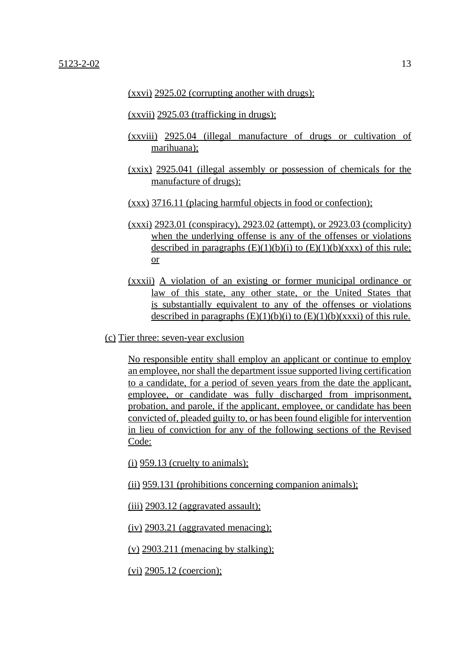(xxvi) 2925.02 (corrupting another with drugs);

(xxvii) 2925.03 (trafficking in drugs);

- (xxviii) 2925.04 (illegal manufacture of drugs or cultivation of marihuana);
- (xxix) 2925.041 (illegal assembly or possession of chemicals for the manufacture of drugs):
- (xxx) 3716.11 (placing harmful objects in food or confection);
- (xxxi) 2923.01 (conspiracy), 2923.02 (attempt), or 2923.03 (complicity) when the underlying offense is any of the offenses or violations described in paragraphs  $(E)(1)(b)(i)$  to  $(E)(1)(b)(xxx)$  of this rule; or
- (xxxii) A violation of an existing or former municipal ordinance or law of this state, any other state, or the United States that is substantially equivalent to any of the offenses or violations described in paragraphs  $(E)(1)(b)(i)$  to  $(E)(1)(b)(xxx)$  of this rule.
- (c) Tier three: seven-year exclusion

No responsible entity shall employ an applicant or continue to employ an employee, nor shall the department issue supported living certification to a candidate, for a period of seven years from the date the applicant, employee, or candidate was fully discharged from imprisonment, probation, and parole, if the applicant, employee, or candidate has been convicted of, pleaded guilty to, or has been found eligible for intervention in lieu of conviction for any of the following sections of the Revised Code:

(i) 959.13 (cruelty to animals);

(ii) 959.131 (prohibitions concerning companion animals);

 $(iii)$  2903.12 (aggravated assault);

(iv) 2903.21 (aggravated menacing);

(v)  $2903.211$  (menacing by stalking);

(vi) 2905.12 (coercion);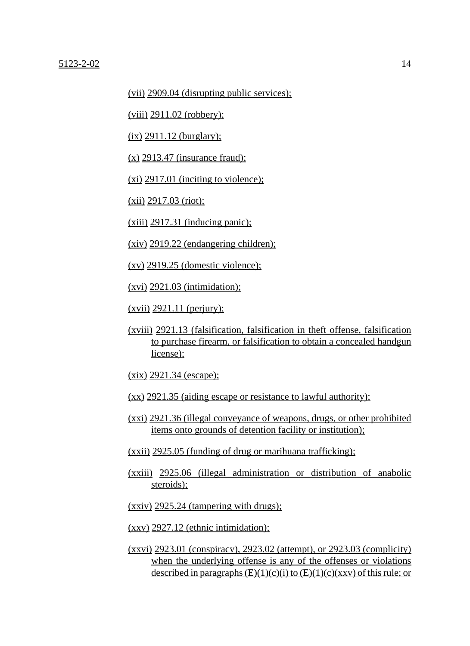(vii) 2909.04 (disrupting public services);

(viii) 2911.02 (robbery);

 $(ix)$  2911.12 (burglary);

(x) 2913.47 (insurance fraud);

 $(x_i)$  2917.01 (inciting to violence);

(xii) 2917.03 (riot);

 $(xiii)$  2917.31 (inducing panic);

(xiv) 2919.22 (endangering children);

(xv) 2919.25 (domestic violence);

 $(xvi)$  2921.03 (intimidation);

(xvii) 2921.11 (perjury);

(xviii) 2921.13 (falsification, falsification in theft offense, falsification to purchase firearm, or falsification to obtain a concealed handgun license);

(xix) 2921.34 (escape);

- (xx) 2921.35 (aiding escape or resistance to lawful authority);
- (xxi) 2921.36 (illegal conveyance of weapons, drugs, or other prohibited items onto grounds of detention facility or institution);
- (xxii) 2925.05 (funding of drug or marihuana trafficking);
- (xxiii) 2925.06 (illegal administration or distribution of anabolic steroids);
- (xxiv) 2925.24 (tampering with drugs);

(xxv) 2927.12 (ethnic intimidation);

(xxvi) 2923.01 (conspiracy), 2923.02 (attempt), or 2923.03 (complicity) when the underlying offense is any of the offenses or violations described in paragraphs  $(E)(1)(c)(i)$  to  $(E)(1)(c)(xxx)$  of this rule; or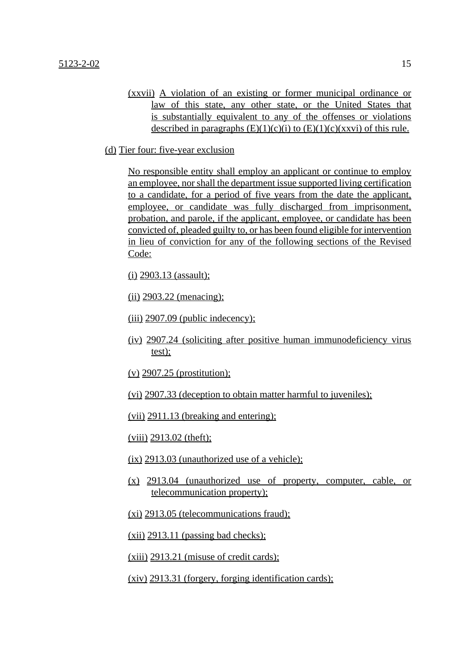(xxvii) A violation of an existing or former municipal ordinance or law of this state, any other state, or the United States that is substantially equivalent to any of the offenses or violations described in paragraphs  $(E)(1)(c)(i)$  to  $(E)(1)(c)(xxx)$  of this rule.

(d) Tier four: five-year exclusion

No responsible entity shall employ an applicant or continue to employ an employee, nor shall the department issue supported living certification to a candidate, for a period of five years from the date the applicant, employee, or candidate was fully discharged from imprisonment, probation, and parole, if the applicant, employee, or candidate has been convicted of, pleaded guilty to, or has been found eligible for intervention in lieu of conviction for any of the following sections of the Revised Code:

(i) 2903.13 (assault);

(ii) 2903.22 (menacing);

- $(iii)$  2907.09 (public indecency);
- (iv) 2907.24 (soliciting after positive human immunodeficiency virus test);
- (v) 2907.25 (prostitution);
- (vi) 2907.33 (deception to obtain matter harmful to juveniles);

(vii) 2911.13 (breaking and entering);

(viii) 2913.02 (theft);

- (ix) 2913.03 (unauthorized use of a vehicle);
- (x) 2913.04 (unauthorized use of property, computer, cable, or telecommunication property);
- (xi) 2913.05 (telecommunications fraud);
- $(xii)$  2913.11 (passing bad checks);

(xiii) 2913.21 (misuse of credit cards);

(xiv) 2913.31 (forgery, forging identification cards);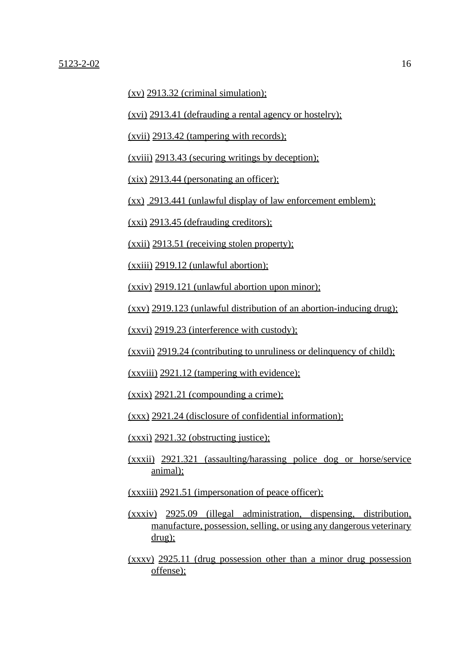$(xv)$  2913.32 (criminal simulation);

(xvi) 2913.41 (defrauding a rental agency or hostelry);

(xvii) 2913.42 (tampering with records);

(xviii) 2913.43 (securing writings by deception);

(xix) 2913.44 (personating an officer);

(xx) 2913.441 (unlawful display of law enforcement emblem);

(xxi) 2913.45 (defrauding creditors);

(xxii) 2913.51 (receiving stolen property);

(xxiii) 2919.12 (unlawful abortion);

(xxiv) 2919.121 (unlawful abortion upon minor);

(xxv) 2919.123 (unlawful distribution of an abortion-inducing drug);

(xxvi) 2919.23 (interference with custody);

(xxvii) 2919.24 (contributing to unruliness or delinquency of child);

(xxviii) 2921.12 (tampering with evidence);

 $(xxix)$  2921.21 (compounding a crime);

(xxx) 2921.24 (disclosure of confidential information);

(xxxi) 2921.32 (obstructing justice);

- (xxxii) 2921.321 (assaulting/harassing police dog or horse/service animal);
- (xxxiii) 2921.51 (impersonation of peace officer);
- (xxxiv) 2925.09 (illegal administration, dispensing, distribution, manufacture, possession, selling, or using any dangerous veterinary drug);
- (xxxv) 2925.11 (drug possession other than a minor drug possession offense);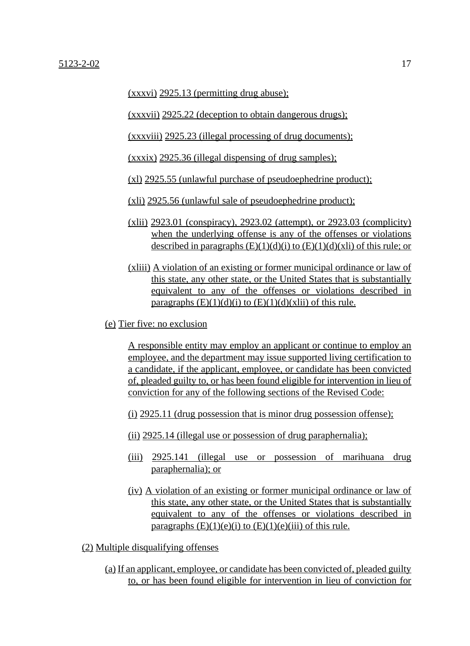(xxxvi) 2925.13 (permitting drug abuse);

(xxxvii) 2925.22 (deception to obtain dangerous drugs);

(xxxviii) 2925.23 (illegal processing of drug documents);

(xxxix) 2925.36 (illegal dispensing of drug samples);

(xl) 2925.55 (unlawful purchase of pseudoephedrine product);

(xli) 2925.56 (unlawful sale of pseudoephedrine product);

- (xlii) 2923.01 (conspiracy), 2923.02 (attempt), or 2923.03 (complicity) when the underlying offense is any of the offenses or violations described in paragraphs  $(E)(1)(d)(i)$  to  $(E)(1)(d)(x)$  of this rule; or
- (xliii) A violation of an existing or former municipal ordinance or law of this state, any other state, or the United States that is substantially equivalent to any of the offenses or violations described in paragraphs  $(E)(1)(d)(i)$  to  $(E)(1)(d)(x)$  of this rule.
- (e) Tier five: no exclusion

A responsible entity may employ an applicant or continue to employ an employee, and the department may issue supported living certification to a candidate, if the applicant, employee, or candidate has been convicted of, pleaded guilty to, or has been found eligible for intervention in lieu of conviction for any of the following sections of the Revised Code:

(i) 2925.11 (drug possession that is minor drug possession offense);

- (ii) 2925.14 (illegal use or possession of drug paraphernalia);
- (iii) 2925.141 (illegal use or possession of marihuana drug paraphernalia); or
- (iv) A violation of an existing or former municipal ordinance or law of this state, any other state, or the United States that is substantially equivalent to any of the offenses or violations described in paragraphs  $(E)(1)(e)(i)$  to  $(E)(1)(e)(iii)$  of this rule.

(2) Multiple disqualifying offenses

(a) If an applicant, employee, or candidate has been convicted of, pleaded guilty to, or has been found eligible for intervention in lieu of conviction for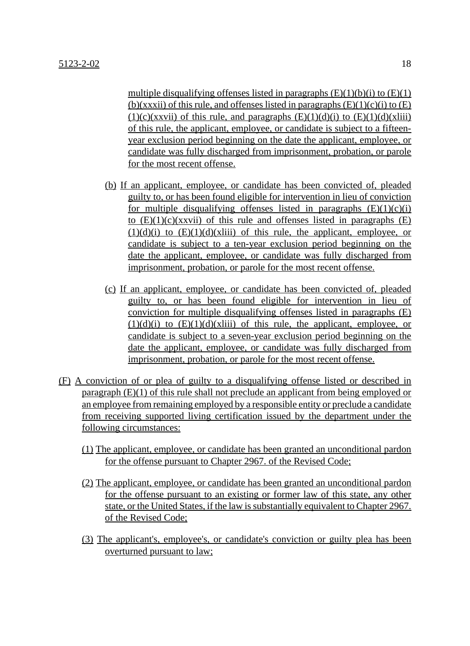multiple disqualifying offenses listed in paragraphs  $(E)(1)(b)(i)$  to  $(E)(1)$ (b)(xxxii) of this rule, and offenses listed in paragraphs  $(E)(1)(c)(i)$  to  $(E)$  $(1)(c)(xxvii)$  of this rule, and paragraphs  $(E)(1)(d)(i)$  to  $(E)(1)(d)(xliii)$ of this rule, the applicant, employee, or candidate is subject to a fifteenyear exclusion period beginning on the date the applicant, employee, or candidate was fully discharged from imprisonment, probation, or parole for the most recent offense.

- (b) If an applicant, employee, or candidate has been convicted of, pleaded guilty to, or has been found eligible for intervention in lieu of conviction for multiple disqualifying offenses listed in paragraphs  $(E)(1)(c)(i)$ to  $(E)(1)(c)(xxvii)$  of this rule and offenses listed in paragraphs  $(E)$  $(1)(d)(i)$  to  $(E)(1)(d)(x(iii))$  of this rule, the applicant, employee, or candidate is subject to a ten-year exclusion period beginning on the date the applicant, employee, or candidate was fully discharged from imprisonment, probation, or parole for the most recent offense.
- (c) If an applicant, employee, or candidate has been convicted of, pleaded guilty to, or has been found eligible for intervention in lieu of conviction for multiple disqualifying offenses listed in paragraphs (E)  $(1)(d)(i)$  to  $(E)(1)(d)(x(iii))$  of this rule, the applicant, employee, or candidate is subject to a seven-year exclusion period beginning on the date the applicant, employee, or candidate was fully discharged from imprisonment, probation, or parole for the most recent offense.
- (F) A conviction of or plea of guilty to a disqualifying offense listed or described in paragraph (E)(1) of this rule shall not preclude an applicant from being employed or an employee from remaining employed by a responsible entity or preclude a candidate from receiving supported living certification issued by the department under the following circumstances:
	- (1) The applicant, employee, or candidate has been granted an unconditional pardon for the offense pursuant to Chapter 2967. of the Revised Code:
	- (2) The applicant, employee, or candidate has been granted an unconditional pardon for the offense pursuant to an existing or former law of this state, any other state, or the United States, if the law is substantially equivalent to Chapter 2967. of the Revised Code;
	- (3) The applicant's, employee's, or candidate's conviction or guilty plea has been overturned pursuant to law;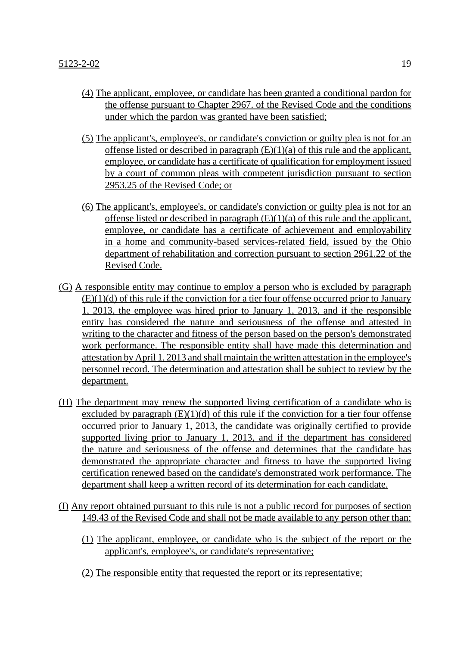- (4) The applicant, employee, or candidate has been granted a conditional pardon for the offense pursuant to Chapter 2967. of the Revised Code and the conditions under which the pardon was granted have been satisfied;
- (5) The applicant's, employee's, or candidate's conviction or guilty plea is not for an offense listed or described in paragraph  $(E)(1)(a)$  of this rule and the applicant, employee, or candidate has a certificate of qualification for employment issued by a court of common pleas with competent jurisdiction pursuant to section 2953.25 of the Revised Code; or
- (6) The applicant's, employee's, or candidate's conviction or guilty plea is not for an offense listed or described in paragraph  $(E)(1)(a)$  of this rule and the applicant, employee, or candidate has a certificate of achievement and employability in a home and community-based services-related field, issued by the Ohio department of rehabilitation and correction pursuant to section 2961.22 of the Revised Code.
- (G) A responsible entity may continue to employ a person who is excluded by paragraph  $(E)(1)(d)$  of this rule if the conviction for a tier four offense occurred prior to January 1, 2013, the employee was hired prior to January 1, 2013, and if the responsible entity has considered the nature and seriousness of the offense and attested in writing to the character and fitness of the person based on the person's demonstrated work performance. The responsible entity shall have made this determination and attestation by April 1, 2013 and shall maintain the written attestation in the employee's personnel record. The determination and attestation shall be subject to review by the department.
- (H) The department may renew the supported living certification of a candidate who is excluded by paragraph  $(E)(1)(d)$  of this rule if the conviction for a tier four offense occurred prior to January 1, 2013, the candidate was originally certified to provide supported living prior to January 1, 2013, and if the department has considered the nature and seriousness of the offense and determines that the candidate has demonstrated the appropriate character and fitness to have the supported living certification renewed based on the candidate's demonstrated work performance. The department shall keep a written record of its determination for each candidate.
- (I) Any report obtained pursuant to this rule is not a public record for purposes of section 149.43 of the Revised Code and shall not be made available to any person other than:
	- (1) The applicant, employee, or candidate who is the subject of the report or the applicant's, employee's, or candidate's representative;
	- (2) The responsible entity that requested the report or its representative;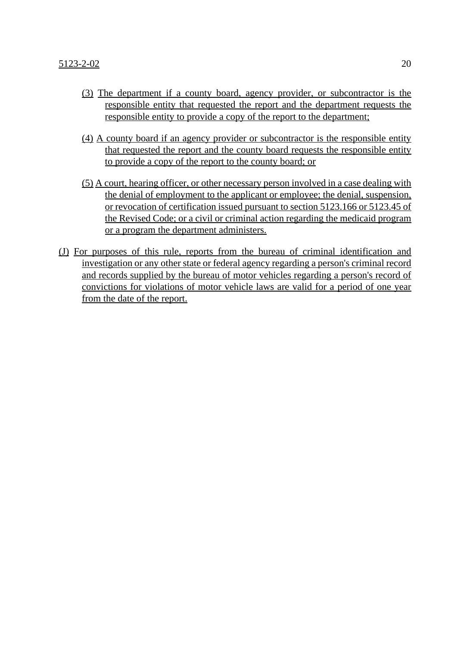- (3) The department if a county board, agency provider, or subcontractor is the responsible entity that requested the report and the department requests the responsible entity to provide a copy of the report to the department;
- (4) A county board if an agency provider or subcontractor is the responsible entity that requested the report and the county board requests the responsible entity to provide a copy of the report to the county board; or
- (5) A court, hearing officer, or other necessary person involved in a case dealing with the denial of employment to the applicant or employee; the denial, suspension, or revocation of certification issued pursuant to section 5123.166 or 5123.45 of the Revised Code; or a civil or criminal action regarding the medicaid program or a program the department administers.
- (J) For purposes of this rule, reports from the bureau of criminal identification and investigation or any other state or federal agency regarding a person's criminal record and records supplied by the bureau of motor vehicles regarding a person's record of convictions for violations of motor vehicle laws are valid for a period of one year from the date of the report.